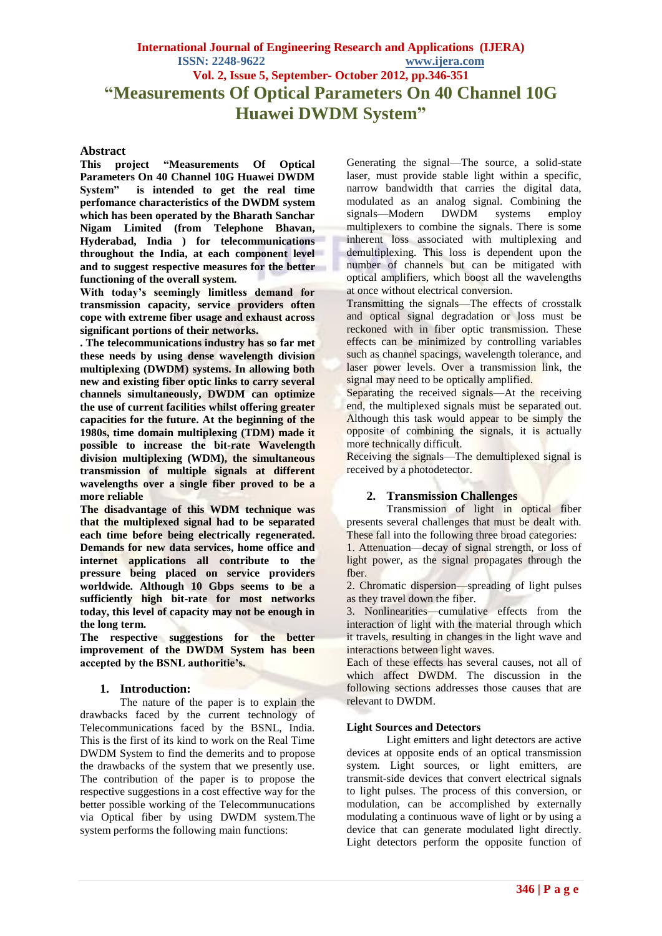**International Journal of Engineering Research and Applications (IJERA) ISSN: 2248-9622 www.ijera.com Vol. 2, Issue 5, September- October 2012, pp.346-351 "Measurements Of Optical Parameters On 40 Channel 10G Huawei DWDM System"**

#### **Abstract**

**This project "Measurements Of Optical Parameters On 40 Channel 10G Huawei DWDM System" is intended to get the real time perfomance characteristics of the DWDM system which has been operated by the Bharath Sanchar Nigam Limited (from Telephone Bhavan, Hyderabad, India ) for telecommunications throughout the India, at each component level and to suggest respective measures for the better functioning of the overall system.**

**With today's seemingly limitless demand for transmission capacity, service providers often cope with extreme fiber usage and exhaust across significant portions of their networks.** 

**. The telecommunications industry has so far met these needs by using dense wavelength division multiplexing (DWDM) systems. In allowing both new and existing fiber optic links to carry several channels simultaneously, DWDM can optimize the use of current facilities whilst offering greater capacities for the future. At the beginning of the 1980s, time domain multiplexing (TDM) made it possible to increase the bit-rate Wavelength division multiplexing (WDM), the simultaneous transmission of multiple signals at different wavelengths over a single fiber proved to be a more reliable** 

**The disadvantage of this WDM technique was that the multiplexed signal had to be separated each time before being electrically regenerated. Demands for new data services, home office and internet applications all contribute to the pressure being placed on service providers worldwide. Although 10 Gbps seems to be a sufficiently high bit-rate for most networks today, this level of capacity may not be enough in the long term.**

**The respective suggestions for the better improvement of the DWDM System has been accepted by the BSNL authoritie's.**

## **1. Introduction:**

The nature of the paper is to explain the drawbacks faced by the current technology of Telecommunications faced by the BSNL, India. This is the first of its kind to work on the Real Time DWDM System to find the demerits and to propose the drawbacks of the system that we presently use. The contribution of the paper is to propose the respective suggestions in a cost effective way for the better possible working of the Telecommunucations via Optical fiber by using DWDM system.The system performs the following main functions:

Generating the signal—The source, a solid-state laser, must provide stable light within a specific, narrow bandwidth that carries the digital data, modulated as an analog signal. Combining the<br>signals—Modern DWDM systems employ signals—Modern DWDM systems employ multiplexers to combine the signals. There is some inherent loss associated with multiplexing and demultiplexing. This loss is dependent upon the number of channels but can be mitigated with optical amplifiers, which boost all the wavelengths at once without electrical conversion.

Transmitting the signals—The effects of crosstalk and optical signal degradation or loss must be reckoned with in fiber optic transmission. These effects can be minimized by controlling variables such as channel spacings, wavelength tolerance, and laser power levels. Over a transmission link, the signal may need to be optically amplified.

Separating the received signals—At the receiving end, the multiplexed signals must be separated out. Although this task would appear to be simply the opposite of combining the signals, it is actually more technically difficult.

Receiving the signals—The demultiplexed signal is received by a photodetector.

## **2. Transmission Challenges**

Transmission of light in optical fiber presents several challenges that must be dealt with. These fall into the following three broad categories:

1. Attenuation—decay of signal strength, or loss of light power, as the signal propagates through the fber.

2. Chromatic dispersion—spreading of light pulses as they travel down the fiber.

3. Nonlinearities—cumulative effects from the interaction of light with the material through which it travels, resulting in changes in the light wave and interactions between light waves.

Each of these effects has several causes, not all of which affect DWDM. The discussion in the following sections addresses those causes that are relevant to DWDM.

#### **Light Sources and Detectors**

Light emitters and light detectors are active devices at opposite ends of an optical transmission system. Light sources, or light emitters, are transmit-side devices that convert electrical signals to light pulses. The process of this conversion, or modulation, can be accomplished by externally modulating a continuous wave of light or by using a device that can generate modulated light directly. Light detectors perform the opposite function of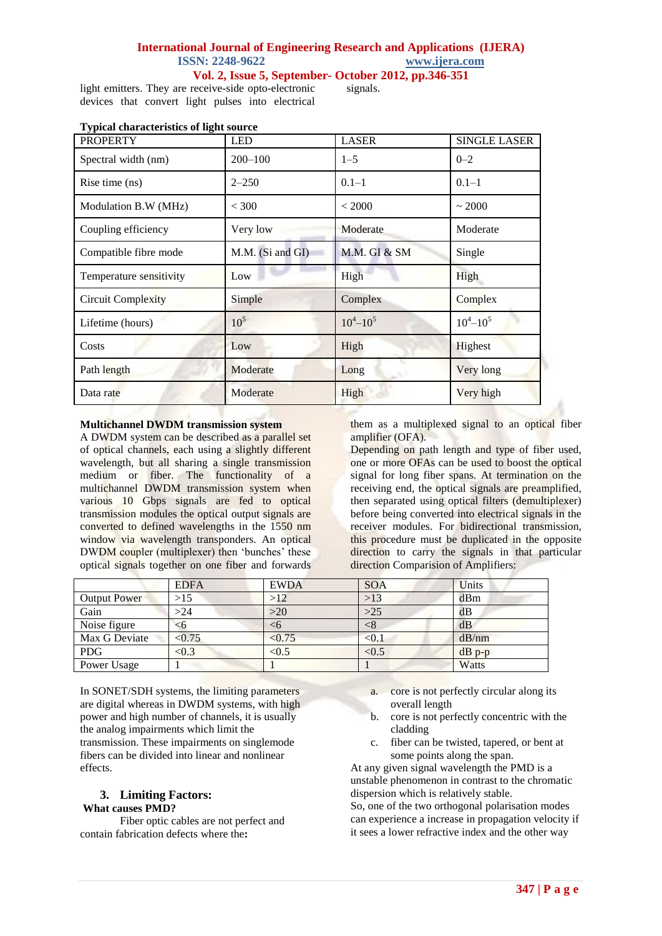## **International Journal of Engineering Research and Applications (IJERA) ISSN: 2248-9622 www.ijera.com**

**Vol. 2, Issue 5, September- October 2012, pp.346-351**

light emitters. They are receive-side opto-electronic devices that convert light pulses into electrical

signals.

| 0<br><b>PROPERTY</b>      | <b>LED</b>       | <b>LASER</b>  | <b>SINGLE LASER</b> |
|---------------------------|------------------|---------------|---------------------|
| Spectral width (nm)       | $200 - 100$      | $1 - 5$       | $0 - 2$             |
| Rise time (ns)            | $2 - 250$        | $0.1 - 1$     | $0.1 - 1$           |
| Modulation B.W (MHz)      | ${}<$ 300        | < 2000        | ~2000               |
| Coupling efficiency       | Very low         | Moderate      | Moderate            |
| Compatible fibre mode     | M.M. (Si and GI) | M.M. GI & SM  | Single              |
| Temperature sensitivity   | Low              | High          | High                |
| <b>Circuit Complexity</b> | Simple           | Complex       | Complex             |
| Lifetime (hours)          | 10 <sup>5</sup>  | $10^4 - 10^5$ | $10^4 - 10^5$       |
| Costs                     | Low              | High          | Highest             |
| Path length               | Moderate         | Long          | Very long           |
| Data rate                 | Moderate         | High          | Very high           |

#### **Typical characteristics of light source**

#### **Multichannel DWDM transmission system**

A DWDM system can be described as a parallel set of optical channels, each using a slightly different wavelength, but all sharing a single transmission medium or fiber. The functionality of a multichannel DWDM transmission system when various 10 Gbps signals are fed to optical transmission modules the optical output signals are converted to defined wavelengths in the 1550 nm window via wavelength transponders. An optical DWDM coupler (multiplexer) then 'bunches' these optical signals together on one fiber and forwards

them as a multiplexed signal to an optical fiber amplifier (OFA).

Depending on path length and type of fiber used, one or more OFAs can be used to boost the optical signal for long fiber spans. At termination on the receiving end, the optical signals are preamplified, then separated using optical filters (demultiplexer) before being converted into electrical signals in the receiver modules. For bidirectional transmission, this procedure must be duplicated in the opposite direction to carry the signals in that particular direction Comparision of Amplifiers:

|               | <b>EDFA</b> | <b>EWDA</b> | <b>SOA</b> | Units    |
|---------------|-------------|-------------|------------|----------|
| Output Power  | $>15$       | >12         | $>13$      | dBm      |
| Gain          | >24         | >20         | $>25$      | dB       |
| Noise figure  | <6          | <ບ          | <8         | dB       |
| Max G Deviate | < 0.75      | < 0.75      | < 0.1      | dB/nm    |
| <b>PDG</b>    | < 0.3       | < 0.5       | < 0.5      | $dB$ p-p |
| Power Usage   |             |             |            | Watts    |

In SONET/SDH systems, the limiting parameters are digital whereas in DWDM systems, with high power and high number of channels, it is usually the analog impairments which limit the transmission. These impairments on singlemode fibers can be divided into linear and nonlinear effects.

#### **3. Limiting Factors: What causes PMD?**

Fiber optic cables are not perfect and contain fabrication defects where the**:**

- a. core is not perfectly circular along its overall length
- b. core is not perfectly concentric with the cladding
- c. fiber can be twisted, tapered, or bent at some points along the span.

At any given signal wavelength the PMD is a unstable phenomenon in contrast to the chromatic dispersion which is relatively stable.

So, one of the two orthogonal polarisation modes can experience a increase in propagation velocity if it sees a lower refractive index and the other way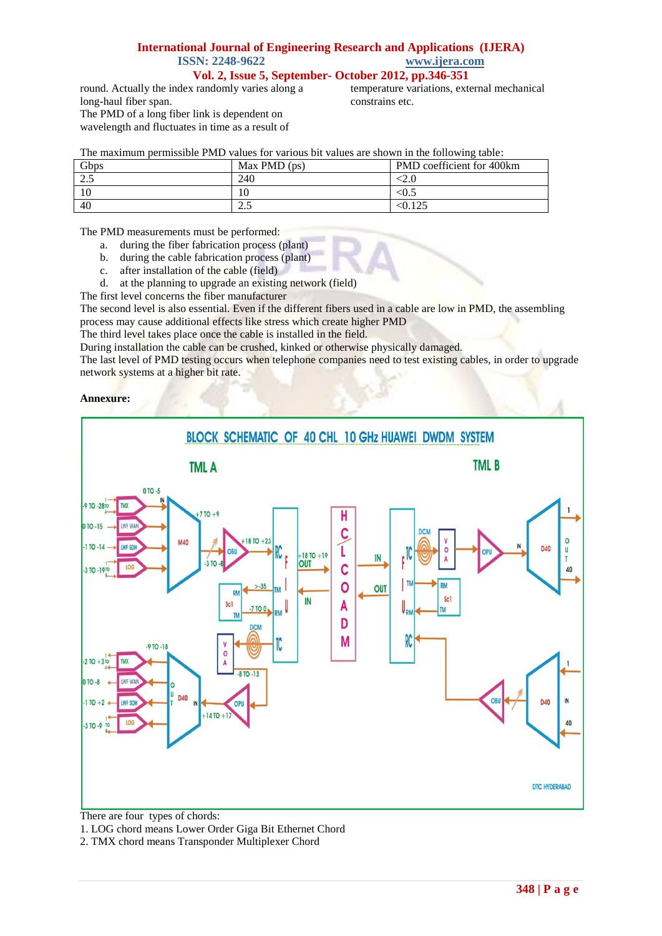## **International Journal of Engineering Research and Applications (IJERA) ISSN: 2248-9622 www.ijera.com**

**Vol. 2, Issue 5, September- October 2012, pp.346-351**

round. Actually the index randomly varies along a long-haul fiber span. The PMD of a long fiber link is dependent on wavelength and fluctuates in time as a result of

temperature variations, external mechanical constrains etc.

٦

| The maximum permissible PMD values for various bit values are shown in the following table: |                |                                  |  |  |  |  |
|---------------------------------------------------------------------------------------------|----------------|----------------------------------|--|--|--|--|
| Gbps                                                                                        | Max PMD $(ps)$ | <b>PMD</b> coefficient for 400km |  |  |  |  |

| <b>UUDS</b>          | <b>NIAX FINILY (DS)</b> | <b>FINILE COULTICIENT TOT 400KHI</b> |
|----------------------|-------------------------|--------------------------------------|
| $\cap$ $\in$<br>ر. ت | 240                     | ∼4.∪                                 |
|                      | 10                      | $\langle 0.5 \rangle$                |
| 40                   | ر. ،                    | $1 \cap E$                           |

The PMD measurements must be performed:

- a. during the fiber fabrication process (plant)
- b. during the cable fabrication process (plant)
- c. after installation of the cable (field)
- d. at the planning to upgrade an existing network (field)

The first level concerns the fiber manufacturer

The second level is also essential. Even if the different fibers used in a cable are low in PMD, the assembling process may cause additional effects like stress which create higher PMD

The third level takes place once the cable is installed in the field.

During installation the cable can be crushed, kinked or otherwise physically damaged.

The last level of PMD testing occurs when telephone companies need to test existing cables, in order to upgrade network systems at a higher bit rate.

#### **Annexure:**



There are four types of chords:

1. LOG chord means Lower Order Giga Bit Ethernet Chord

2. TMX chord means Transponder Multiplexer Chord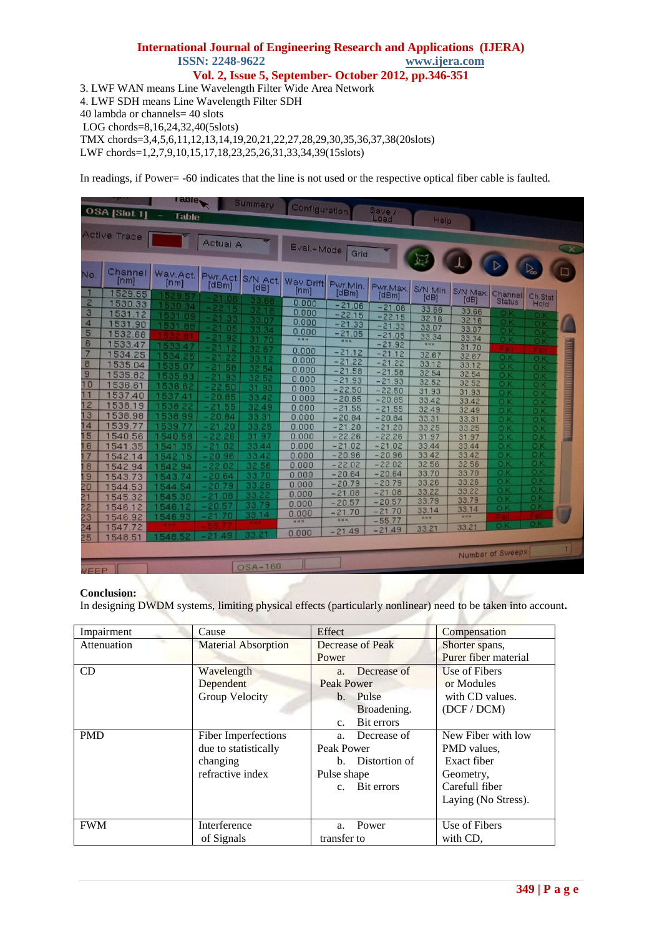# **International Journal of Engineering Research and Applications (IJERA) ISSN: 2248-9622 www.ijera.com Vol. 2, Issue 5, September- October 2012, pp.346-351**

3. LWF WAN means Line Wavelength Filter Wide Area Network

4. LWF SDH means Line Wavelength Filter SDH

40 lambda or channels= 40 slots

LOG chords=8,16,24,32,40(5slots)

TMX chords=3,4,5,6,11,12,13,14,19,20,21,22,27,28,29,30,35,36,37,38(20slots)

LWF chords=1,2,7,9,10,15,17,18,23,25,26,31,33,34,39(15slots)

In readings, if Power= -60 indicates that the line is not used or the respective optical fiber cable is faulted.

|                                | OSA [Slot 1]              | ranje,<br>Table           |                          | Summary                   | Configuration       |                          | Save /<br>Load            | <b>Help</b>         |                        |                       |                                    |                                         |
|--------------------------------|---------------------------|---------------------------|--------------------------|---------------------------|---------------------|--------------------------|---------------------------|---------------------|------------------------|-----------------------|------------------------------------|-----------------------------------------|
|                                | Active Trace              |                           | Actual A                 |                           | Eval .- Mode        | Grid                     |                           |                     |                        |                       |                                    | $\overline{\mathbf{x}}$                 |
| No.                            | Channel<br>[mm]<br>529.55 | Wav.Act.<br>[nm]<br>529.5 | [dBm]<br>21.06           | Pwr.Act. S/N Act.<br>[dB] | Wav.Drift<br>[mm]   | Pwr.Min.<br>[dBm]        | Pwr.Max.<br>[dBm]         | S/N Min.<br>[dB]    | S/N Max.<br>[dB]       | Channel               | $\overline{\mathbb{Q}}$<br>Ch.Stat | n                                       |
| $\overline{2}$<br>$\mathbf{d}$ | 1530.33<br>1531.12        | 1530.34<br>1531.09        | 22<br>-15                | 33.66<br>3216             | 0.000<br>0.000      | $-21.06$<br>$-22.15$     | $-21.06$<br>$-22.15$      | 33.66               | 33.66                  | <b>Status</b><br>o)I  | Hold<br>oı                         |                                         |
| 4<br>5                         | 1531.90                   | 1531.88                   | 33<br>21<br>05           | 33.07<br>33.34            | 0.000<br>0.000      | $-21.33$<br>$-21.05$     | $-21.33$                  | 32.16<br>33.07      | 32.16<br>33.07         | O.K<br>O.K            | 0 K<br>O.K                         |                                         |
| 6                              | 1532.68<br>1533.47        | 1533.47                   | - 21<br>9<br>- 21        | 31.70<br>32.67            | <b>NNN</b>          | <b>NNN</b>               | $-21.05$<br>$-21.92$      | 33.34<br><b>NNN</b> | 33.34<br>31.70         | O.K                   | O.k                                |                                         |
| 7<br>$\overline{8}$            | 1534.25<br>1535.04        | 1534.25<br>1535.07        | 2<br>- 21<br>58          | 33.12                     | 0.000<br>0.000      | $-21.12$<br>$-21.22$     | $-21.12$<br>$-21.$<br>.22 | 32.67<br>33.12      | 32.67<br>33.12         | OK<br>O.K             | O <sub>K</sub><br>O.K              |                                         |
| $\overline{g}$<br>10           | 1535.82                   | 1535.83                   | - 21<br>93               | 32.54<br>32.52            | 0.000<br>0.000      | $-21.58$<br>$-21.93$     | $-21.58$<br>$-21.93$      | 32.54<br>32.52      | 32.54<br>32.52         | O.K<br>O <sub>k</sub> | O.K<br>O.K                         | <b>MADAGERHERGERGEGERGERGERGERGERGE</b> |
| 11                             | 1536.61<br>1537.40        | 1536.62<br>1537.41        | $-22.50$<br>$-20.85$     | 31.93<br>33.42            | 0.000<br>0.000      | $-22.50$<br>$-20.85$     | $-22.50$<br>$-20.85$      | 31.93<br>33.42      | 31.93<br>33.42         | OK<br>O.K             | $O$ .K                             |                                         |
| 12<br>13                       | 1538.19<br>538.98         | 1538.22<br>1538.99        | .55<br>- 21<br>$-20.84$  | 32.49<br>33.31            | 0.000<br>0.000      | $-21.55$<br>$-20.84$     | $-21.55$<br>$-20.84$      | 32.49<br>33.31      | 32.49                  | O K                   | O.K<br>O.K                         |                                         |
| 14<br>15                       | 539.77                    | 1539.77                   | $-21.20$                 | 33.25                     | 0.000               | $-21.20$                 | $-21.20$                  | 33.25               | 33.31<br>33.25         | O <sub>K</sub><br>O.K | O.K<br>O.K                         |                                         |
| 16                             | 1540.56<br>1541.35        | 1540.58<br>1541<br>.35    | $-22.26$<br>$-21$<br>.02 | 31.97<br>33.44            | 0.000<br>0.000      | $-22.26$<br>$-21.02$     | $-22.26$<br>$-21.02$      | 31.97<br>33.44      | 31.97<br>33.44         | O.K<br>OK             | O.K<br>O.K                         |                                         |
| 17<br>18                       | 1542.14<br>1542.94        | 1542<br>15<br>1542.94     | $-20.96$<br>$-22.02$     | 33.42<br>32.56            | 0.000<br>0.000      | $-20.96$<br>$-22.02$     | $-20.96$<br>$-22.02$      | 33.42<br>32.56      | 33.42<br>32.56         | OK<br>O.K             | O K<br>O.K                         |                                         |
| 19<br>20                       | 1543.73                   | 74<br>1543<br>1544<br>54  | $-20.64$<br>20.79        | 33.70<br>33.26            | 0.000<br>0.000      | $-20.64$<br>$-20.79$     | $-20.64$<br>$-20.79$      | 33.70<br>33.26      | 33.70<br>33.26         | $O$ K<br>O.K          | $O$ K<br>O.K                       |                                         |
| $\overline{21}$                | 1544.53<br>1545.32        | 1545.30                   | $-21.08$                 | 33.22                     | 0.000<br>0.000      | $-21.08$<br>$-20.57$     | $-21.08$<br>$-20.57$      | 33.22<br>33.79      | 33.22<br>33.79         | O.K<br>Ö.K            | O.K<br>O.K                         |                                         |
| 22<br>23                       | 1546.12<br>1546.92        | 1546.12<br>1546.93        | 20.57<br>70              | 33.79<br>33.14            | 0.000               | $-21.70$<br><b>N N N</b> | $-21.70$                  | 33.14<br><b>NKK</b> | 33.14<br><b>M 30 M</b> | O.K                   | O <sub>K</sub>                     |                                         |
| $\overline{24}$                | 1547.72<br>1548.51        | 548                       |                          |                           | <b>NNN</b><br>0.000 | $-21.49$                 | $-55.77$<br>$-21.49$      | 33.21               | 33.21                  |                       | $\n  0\n  K\n$                     |                                         |
| 25                             |                           |                           |                          |                           |                     |                          |                           |                     |                        | Number of Sweeps      |                                    | 1.                                      |
| <b>VEEP</b>                    |                           |                           |                          | OSA-160                   |                     |                          |                           |                     |                        |                       |                                    |                                         |

## **Conclusion:**

In designing DWDM systems, limiting physical effects (particularly nonlinear) need to be taken into account**.**

| Impairment  | Cause                      | Effect                    | Compensation         |
|-------------|----------------------------|---------------------------|----------------------|
| Attenuation | <b>Material Absorption</b> | Decrease of Peak          | Shorter spans,       |
|             |                            | Power                     | Purer fiber material |
| CD          | Wavelength                 | a. Decrease of            | Use of Fibers        |
|             | Dependent                  | <b>Peak Power</b>         | or Modules           |
|             | <b>Group Velocity</b>      | b. Pulse                  | with CD values.      |
|             |                            | Broadening.               | (DCF / DCM)          |
|             |                            | Bit errors<br>$c_{\cdot}$ |                      |
| <b>PMD</b>  | Fiber Imperfections        | a. Decrease of            | New Fiber with low   |
|             | due to statistically       | Peak Power                | PMD values.          |
|             | changing                   | Distortion of<br>$h_{-}$  | Exact fiber          |
|             | refractive index           | Pulse shape               | Geometry,            |
|             |                            | c. Bit errors             | Carefull fiber       |
|             |                            |                           | Laying (No Stress).  |
|             |                            |                           |                      |
| <b>FWM</b>  | Interference               | Power<br>a <sub>z</sub>   | Use of Fibers        |
|             | of Signals                 | transfer to               | with CD.             |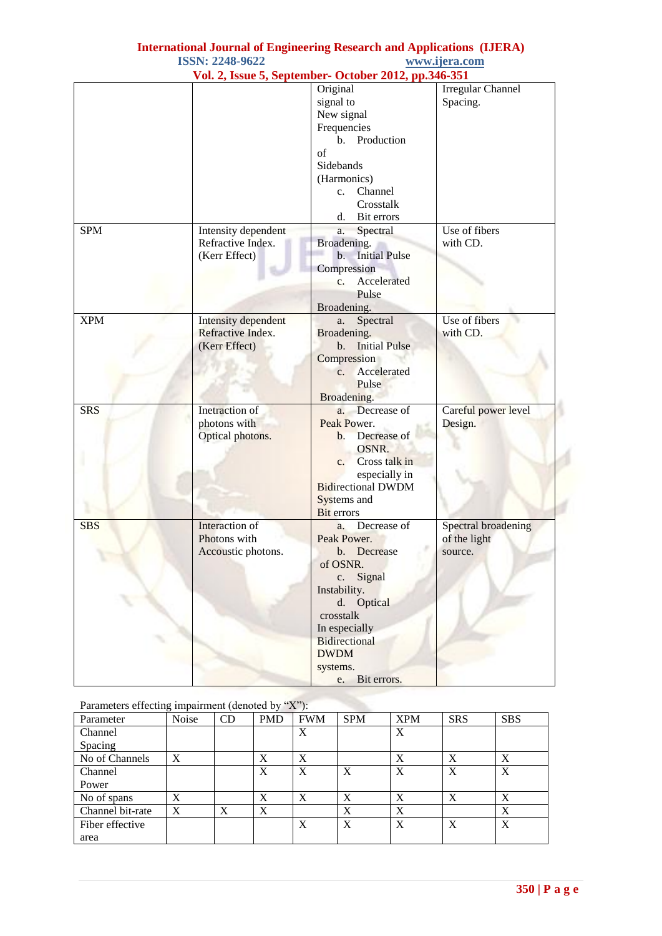|            |                                                           | Vol. 2, Issue 5, September- October 2012, pp.346-351                                                                                                                                                                    |                                                |
|------------|-----------------------------------------------------------|-------------------------------------------------------------------------------------------------------------------------------------------------------------------------------------------------------------------------|------------------------------------------------|
|            |                                                           | Original<br>signal to<br>New signal                                                                                                                                                                                     | <b>Irregular Channel</b><br>Spacing.           |
|            |                                                           | Frequencies<br>Production<br>b.<br>of                                                                                                                                                                                   |                                                |
|            |                                                           | Sidebands<br>(Harmonics)<br>Channel<br>c.<br>Crosstalk<br>Bit errors<br>d.                                                                                                                                              |                                                |
| <b>SPM</b> | Intensity dependent<br>Refractive Index.<br>(Kerr Effect) | Spectral<br>a.<br>Broadening.<br><b>Initial Pulse</b><br>b.<br>Compression<br>Accelerated<br>$c_{\cdot}$<br>Pulse<br>Broadening.                                                                                        | Use of fibers<br>with CD.                      |
| <b>XPM</b> | Intensity dependent<br>Refractive Index.<br>(Kerr Effect) | Spectral<br>a.<br>Broadening.<br>b. Initial Pulse<br>Compression<br>Accelerated<br>$c_{\cdot}$<br>Pulse<br>Broadening.                                                                                                  | Use of fibers<br>with CD.                      |
| <b>SRS</b> | Inetraction of<br>photons with<br>Optical photons.        | Decrease of<br>$a_{\cdot}$<br>Peak Power.<br>Decrease of<br>$b$ .<br>OSNR.<br>Cross talk in<br>c.<br>especially in<br><b>Bidirectional DWDM</b><br>Systems and<br><b>Bit</b> errors                                     | Careful power level<br>Design.                 |
| <b>SBS</b> | Interaction of<br>Photons with<br>Accoustic photons.      | Decrease of<br>a.<br>Peak Power.<br>Decrease<br>b.<br>of OSNR.<br>Signal<br>$\mathbf{c}$ .<br>Instability.<br>d. Optical<br>crosstalk<br>In especially<br>Bidirectional<br><b>DWDM</b><br>systems.<br>Bit errors.<br>e. | Spectral broadening<br>of the light<br>source. |

# **International Journal of Engineering Research and Applications (IJERA) ISSN: 2248-9622 www.ijera.com**

# Parameters effecting impairment (denoted by  $"X"$ ):

| $\frac{1}{2}$ and $\frac{1}{2}$ and $\frac{1}{2}$ and $\frac{1}{2}$ and $\frac{1}{2}$ and $\frac{1}{2}$ and $\frac{1}{2}$ and $\frac{1}{2}$ and $\frac{1}{2}$ and $\frac{1}{2}$ and $\frac{1}{2}$ and $\frac{1}{2}$ and $\frac{1}{2}$ and $\frac{1}{2}$ and $\frac{1}{2}$ and $\frac{1}{2}$ a |       |    |            |            |            |            |            |            |
|-----------------------------------------------------------------------------------------------------------------------------------------------------------------------------------------------------------------------------------------------------------------------------------------------|-------|----|------------|------------|------------|------------|------------|------------|
| Parameter                                                                                                                                                                                                                                                                                     | Noise | CD | <b>PMD</b> | <b>FWM</b> | <b>SPM</b> | <b>XPM</b> | <b>SRS</b> | <b>SBS</b> |
| Channel                                                                                                                                                                                                                                                                                       |       |    |            | X          |            | X          |            |            |
| Spacing                                                                                                                                                                                                                                                                                       |       |    |            |            |            |            |            |            |
| No of Channels                                                                                                                                                                                                                                                                                | X     |    | X          | X          |            | X          | X          | X          |
| Channel                                                                                                                                                                                                                                                                                       |       |    | X          | X          | X          | X          | X          | X          |
| Power                                                                                                                                                                                                                                                                                         |       |    |            |            |            |            |            |            |
| No of spans                                                                                                                                                                                                                                                                                   | X     |    | X          | X          | X          | X          | X          | X          |
| Channel bit-rate                                                                                                                                                                                                                                                                              | X     | X  | X          |            | X          | X          |            | X          |
| Fiber effective                                                                                                                                                                                                                                                                               |       |    |            | X          | X          | X          | X          | X          |
| area                                                                                                                                                                                                                                                                                          |       |    |            |            |            |            |            |            |